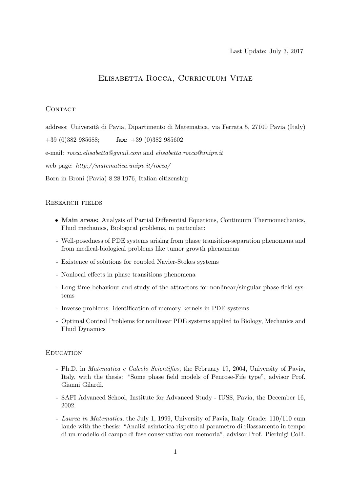# Elisabetta Rocca, Curriculum Vitae

# CONTACT

address: Università di Pavia, Dipartimento di Matematica, via Ferrata 5, 27100 Pavia (Italy)  $+39$  (0)382 985688; fax:  $+39$  (0)382 985602 e-mail: rocca.elisabetta@gmail.com and elisabetta.rocca@unipv.it web page: http://matematica.unipv.it/rocca/ Born in Broni (Pavia) 8.28.1976, Italian citizenship

# Research fields

- Main areas: Analysis of Partial Differential Equations, Continuum Thermomechanics, Fluid mechanics, Biological problems, in particular:
- Well-posedness of PDE systems arising from phase transition-separation phenomena and from medical-biological problems like tumor growth phenomena
- Existence of solutions for coupled Navier-Stokes systems
- Nonlocal effects in phase transitions phenomena
- Long time behaviour and study of the attractors for nonlinear/singular phase-field systems
- Inverse problems: identification of memory kernels in PDE systems
- Optimal Control Problems for nonlinear PDE systems applied to Biology, Mechanics and Fluid Dynamics

## **EDUCATION**

- Ph.D. in Matematica e Calcolo Scientifico, the February 19, 2004, University of Pavia, Italy, with the thesis: "Some phase field models of Penrose-Fife type", advisor Prof. Gianni Gilardi.
- SAFI Advanced School, Institute for Advanced Study IUSS, Pavia, the December 16, 2002.
- Laurea in Matematica, the July 1, 1999, University of Pavia, Italy, Grade: 110/110 cum laude with the thesis: "Analisi asintotica rispetto al parametro di rilassamento in tempo di un modello di campo di fase conservativo con memoria", advisor Prof. Pierluigi Colli.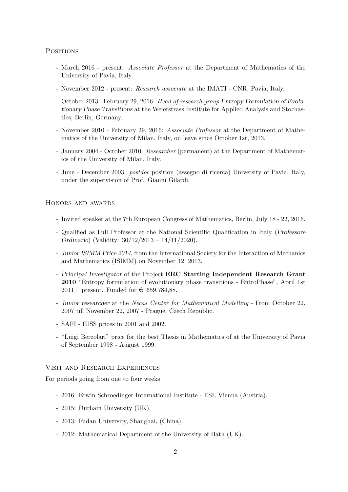**POSITIONS** 

- March 2016 present: Associate Professor at the Department of Mathematics of the University of Pavia, Italy.
- November 2012 present: Research associate at the IMATI CNR, Pavia, Italy.
- October 2013 February 29, 2016: Head of research group Entropy Formulation of Evolutionary Phase Transitions at the Weierstrass Institute for Applied Analysis and Stochastics, Berlin, Germany.
- November 2010 February 29, 2016: Associate Professor at the Department of Mathematics of the University of Milan, Italy, on leave since October 1st, 2013.
- January 2004 October 2010: Researcher (permanent) at the Department of Mathematics of the University of Milan, Italy.
- June December 2003: postdoc position (assegno di ricerca) University of Pavia, Italy, under the supervision of Prof. Gianni Gilardi.

HONORS AND AWARDS

- Invited speaker at the 7th European Congress of Mathematics, Berlin, July 18 22, 2016.
- Qualified as Full Professor at the National Scientific Qualification in Italy (Professore Ordinario) (Validity: 30/12/2013 – 14/11/2020).
- Junior ISIMM Price 2014, from the International Society for the Interaction of Mechanics and Mathematics (ISIMM) on November 12, 2013.
- Principal Investigator of the Project ERC Starting Independent Research Grant 2010 "Entropy formulation of evolutionary phase transitions - EntroPhase", April 1st 2011 – present. Funded for  $\in$  659.784,88.
- Junior researcher at the Necas Center for Mathematical Modelling From October 22, 2007 till November 22, 2007 - Prague, Czech Republic.
- SAFI IUSS prices in 2001 and 2002.
- "Luigi Berzolari" price for the best Thesis in Mathematics of at the University of Pavia of September 1998 - August 1999.

Visit and Research Experiences

For periods going from one to four weeks

- 2016: Erwin Schroedinger International Institute ESI, Vienna (Austria).
- 2015: Durham University (UK).
- 2013: Fudan University, Shanghai, (China).
- 2012: Mathematical Department of the University of Bath (UK).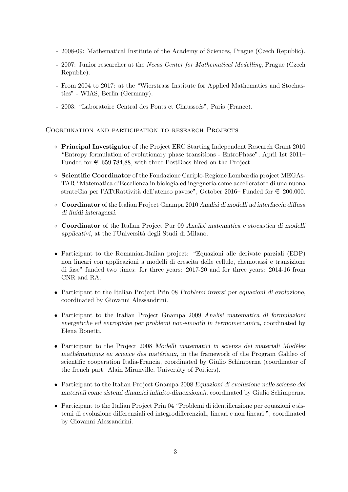- 2008-09: Mathematical Institute of the Academy of Sciences, Prague (Czech Republic).
- 2007: Junior researcher at the Necas Center for Mathematical Modelling, Prague (Czech Republic).
- From 2004 to 2017: at the "Wierstrass Institute for Applied Mathematics and Stochastics" - WIAS, Berlin (Germany).
- 2003: "Laboratoire Central des Ponts et Chausseés", Paris (France).

## Coordination and participation to research Projects

- $\Diamond$  Principal Investigator of the Project ERC Starting Independent Research Grant 2010 "Entropy formulation of evolutionary phase transitions - EntroPhase", April 1st 2011– Funded for  $\epsilon$  659.784,88, with three PostDocs hired on the Project.
- $\Diamond$  Scientific Coordinator of the Fondazione Cariplo-Regione Lombardia project MEGAs-TAR "Matematica d'Eccellenza in biologia ed ingegneria come accelleratore di una nuona strateGia per l'ATtRattività dell'ateneo pavese", October 2016– Funded for  $\epsilon$  200.000.
- $\circ$  Coordinator of the Italian Project Gnampa 2010 Analisi di modelli ad interfaccia diffusa di fluidi interagenti.
- Coordinator of the Italian Project Pur 09 Analisi matematica e stocastica di modelli applicativi, at the l'Universit`a degli Studi di Milano.
- Participant to the Romanian-Italian project: "Equazioni alle derivate parziali (EDP) non lineari con applicazioni a modelli di crescita delle cellule, chemotassi e transizione di fase" funded two times: for three years: 2017-20 and for three years: 2014-16 from CNR and RA.
- Participant to the Italian Project Prin 08 Problemi inversi per equazioni di evoluzione, coordinated by Giovanni Alessandrini.
- Participant to the Italian Project Gnampa 2009 Analisi matematica di formulazioni energetiche ed entropiche per problemi non-smooth in termomeccanica, coordinated by Elena Bonetti.
- $\bullet$  Participant to the Project 2008 Modelli matematici in scienza dei materiali Modèles mathématiques en science des matériaux, in the framework of the Program Galileo of scientific cooperation Italia-Francia, coordinated by Giulio Schimperna (coordinator of the french part: Alain Miranville, University of Poitiers).
- Participant to the Italian Project Gnampa 2008 Equazioni di evoluzione nelle scienze dei materiali come sistemi dinamici infinito-dimensionali, coordinated by Giulio Schimperna.
- Participant to the Italian Project Prin 04 "Problemi di identificazione per equazioni e sistemi di evoluzione differenziali ed integrodifferenziali, lineari e non lineari ", coordinated by Giovanni Alessandrini.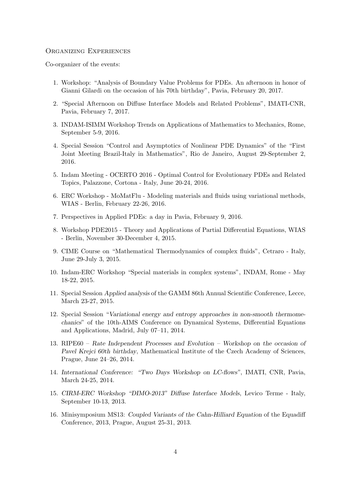#### Organizing Experiences

Co-organizer of the events:

- 1. Workshop: "Analysis of Boundary Value Problems for PDEs. An afternoon in honor of Gianni Gilardi on the occasion of his 70th birthday", Pavia, February 20, 2017.
- 2. "Special Afternoon on Diffuse Interface Models and Related Problems", IMATI-CNR, Pavia, February 7, 2017.
- 3. INDAM-ISIMM Workshop Trends on Applications of Mathematics to Mechanics, Rome, September 5-9, 2016.
- 4. Special Session "Control and Asymptotics of Nonlinear PDE Dynamics" of the "First Joint Meeting Brazil-Italy in Mathematics", Rio de Janeiro, August 29-September 2, 2016.
- 5. Indam Meeting OCERTO 2016 Optimal Control for Evolutionary PDEs and Related Topics, Palazzone, Cortona - Italy, June 20-24, 2016.
- 6. ERC Workshop MoMatFlu Modeling materials and fluids using variational methods, WIAS - Berlin, February 22-26, 2016.
- 7. Perspectives in Applied PDEs: a day in Pavia, February 9, 2016.
- 8. Workshop PDE2015 Theory and Applications of Partial Differential Equations, WIAS - Berlin, November 30-December 4, 2015.
- 9. CIME Course on "Mathematical Thermodynamics of complex fluids", Cetraro Italy, June 29-July 3, 2015.
- 10. Indam-ERC Workshop "Special materials in complex systems", INDAM, Rome May 18-22, 2015.
- 11. Special Session Applied analysis of the GAMM 86th Annual Scientific Conference, Lecce, March 23-27, 2015.
- 12. Special Session "Variational energy and entropy approaches in non-smooth thermomechanics" of the 10th-AIMS Conference on Dynamical Systems, Differential Equations and Applications, Madrid, July 07–11, 2014.
- 13. RIPE60 Rate Independent Processes and Evolution Workshop on the occasion of Pavel Krejci 60th birthday, Mathematical Institute of the Czech Academy of Sciences, Prague, June 24–26, 2014.
- 14. International Conference: "Two Days Workshop on LC-flows", IMATI, CNR, Pavia, March 24-25, 2014.
- 15. CIRM-ERC Workshop "DIMO-2013" Diffuse Interface Models, Levico Terme Italy, September 10-13, 2013.
- 16. Minisymposium MS13: Coupled Variants of the Cahn-Hilliard Equation of the Equadiff Conference, 2013, Prague, August 25-31, 2013.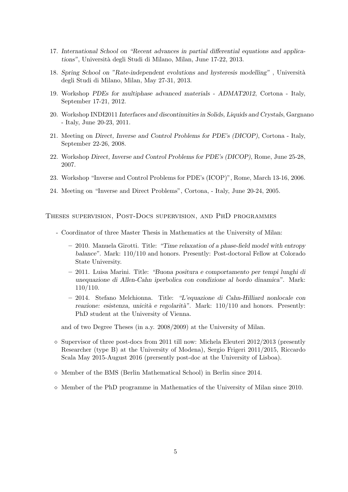- 17. International School on "Recent advances in partial differential equations and applications", Universit`a degli Studi di Milano, Milan, June 17-22, 2013.
- 18. Spring School on "Rate-independent evolutions and hysteresis modelling", Università degli Studi di Milano, Milan, May 27-31, 2013.
- 19. Workshop PDEs for multiphase advanced materials ADMAT2012, Cortona Italy, September 17-21, 2012.
- 20. Workshop INDI2011 Interfaces and discontinuities in Solids, Liquids and Crystals, Gargnano - Italy, June 20-23, 2011.
- 21. Meeting on Direct, Inverse and Control Problems for PDE's (DICOP), Cortona Italy, September 22-26, 2008.
- 22. Workshop Direct, Inverse and Control Problems for PDE's (DICOP), Rome, June 25-28, 2007.
- 23. Workshop "Inverse and Control Problems for PDE's (ICOP)", Rome, March 13-16, 2006.
- 24. Meeting on "Inverse and Direct Problems", Cortona, Italy, June 20-24, 2005.

Theses supervision, Post-Docs supervision, and PhD programmes

- Coordinator of three Master Thesis in Mathematics at the University of Milan:
	- 2010. Manuela Girotti. Title: "Time relaxation of a phase-field model with entropy balance". Mark: 110/110 and honors. Presently: Post-doctoral Fellow at Colorado State University.
	- 2011. Luisa Marini. Title: "Buona positura e comportamento per tempi lunghi di unequazione di Allen-Cahn iperbolica con condizione al bordo dinamica". Mark: 110/110.
	- 2014. Stefano Melchionna. Title: "L'equazione di Cahn-Hilliard nonlocale con reazione: esistenza, unicità e regolarità". Mark:  $110/110$  and honors. Presently: PhD student at the University of Vienna.

and of two Degree Theses (in a.y. 2008/2009) at the University of Milan.

- $\Diamond$  Supervisor of three post-docs from 2011 till now: Michela Eleuteri 2012/2013 (presently Researcher (type B) at the University of Modena), Sergio Frigeri 2011/2015, Riccardo Scala May 2015-August 2016 (prersently post-doc at the University of Lisboa).
- $\diamond$  Member of the BMS (Berlin Mathematical School) in Berlin since 2014.
- $\Diamond$  Member of the PhD programme in Mathematics of the University of Milan since 2010.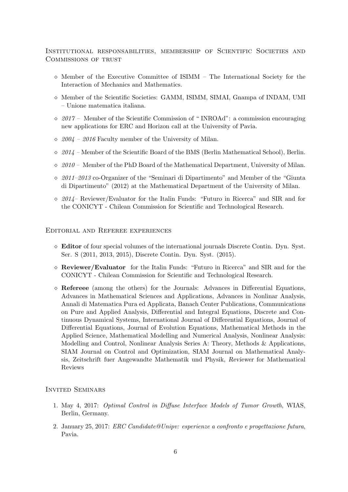Institutional responsabilities, membership of Scientific Societies and COMMISSIONS OF TRUST

- $\Diamond$  Member of the Executive Committee of ISIMM The International Society for the Interaction of Mechanics and Mathematics.
- $\diamond$  Member of the Scientific Societies: GAMM, ISIMM, SIMAI, Gnampa of INDAM, UMI – Unione matematica italiana.
- $\Diamond$  2017 Member of the Scientific Commission of "INROAd": a commission encouraging new applications for ERC and Horizon call at the University of Pavia.
- $\Diamond$  2004 2016 Faculty member of the University of Milan.
- $\sim$  2014 Member of the Scientific Board of the BMS (Berlin Mathematical School), Berlin.
- $\delta \approx 2010$  Member of the PhD Board of the Mathematical Department, University of Milan.
- 2011–2013 co-Organizer of the "Seminari di Dipartimento" and Member of the "Giunta di Dipartimento" (2012) at the Mathematical Department of the University of Milan.
- $\delta$  2014– Reviewer/Evaluator for the Italin Funds: "Futuro in Ricerca" and SIR and for the CONICYT - Chilean Commission for Scientific and Technological Research.

#### Editorial and Referee experiences

- $\Diamond$  **Editor** of four special volumes of the international journals Discrete Contin. Dyn. Syst. Ser. S (2011, 2013, 2015), Discrete Contin. Dyn. Syst. (2015).
- $\Diamond$  **Reviewer/Evaluator** for the Italin Funds: "Futuro in Ricerca" and SIR and for the CONICYT - Chilean Commission for Scientific and Technological Research.
- $\Diamond$  Refereee (among the others) for the Journals: Advances in Differential Equations, Advances in Mathematical Sciences and Applications, Advances in Nonlinar Analysis, Annali di Matematica Pura ed Applicata, Banach Center Publications, Communications on Pure and Applied Analysis, Differential and Integral Equations, Discrete and Continuous Dynamical Systems, International Journal of Differential Equations, Journal of Differential Equations, Journal of Evolution Equations, Mathematical Methods in the Applied Science, Mathematical Modelling and Numerical Analysis, Nonlinear Analysis: Modelling and Control, Nonlinear Analysis Series A: Theory, Methods & Applications, SIAM Journal on Control and Optimization, SIAM Journal on Mathematical Analysis, Zeitschrift fuer Angewandte Mathematik und Physik, Reviewer for Mathematical Reviews

### Invited Seminars

- 1. May 4, 2017: Optimal Control in Diffuse Interface Models of Tumor Growth, WIAS, Berlin, Germany.
- 2. January 25, 2017: ERC Candidate@Unipv: esperienze a confronto e progettazione futura, Pavia.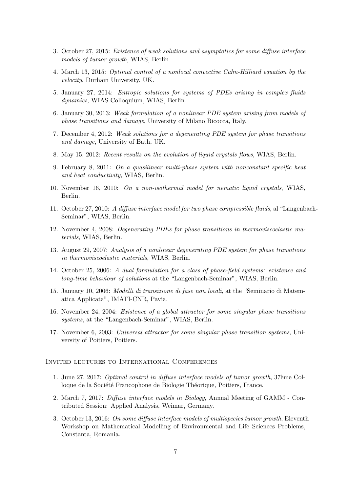- 3. October 27, 2015: Existence of weak solutions and asymptotics for some diffuse interface models of tumor growth, WIAS, Berlin.
- 4. March 13, 2015: Optimal control of a nonlocal convective Cahn-Hilliard equation by the velocity, Durham University, UK.
- 5. January 27, 2014: Entropic solutions for systems of PDEs arising in complex fluids dynamics, WIAS Colloquium, WIAS, Berlin.
- 6. January 30, 2013: Weak formulation of a nonlinear PDE system arising from models of phase transitions and damage, University of Milano Bicocca, Italy.
- 7. December 4, 2012: Weak solutions for a degenerating PDE system for phase transitions and damage, University of Bath, UK.
- 8. May 15, 2012: Recent results on the evolution of liquid crystals flows, WIAS, Berlin.
- 9. February 8, 2011: On a quasilinear multi-phase system with nonconstant specific heat and heat conductivity, WIAS, Berlin.
- 10. November 16, 2010: On a non-isothermal model for nematic liquid crystals, WIAS, Berlin.
- 11. October 27, 2010: A diffuse interface model for two phase compressible fluids, al "Langenbach-Seminar", WIAS, Berlin.
- 12. November 4, 2008: Degenerating PDEs for phase transitions in thermoviscoelastic materials, WIAS, Berlin.
- 13. August 29, 2007: Analysis of a nonlinear degenerating PDE system for phase transitions in thermoviscoelastic materials, WIAS, Berlin.
- 14. October 25, 2006: A dual formulation for a class of phase-field systems: existence and long-time behaviour of solutions at the "Langenbach-Seminar", WIAS, Berlin.
- 15. January 10, 2006: Modelli di transizione di fase non locali, at the "Seminario di Matematica Applicata", IMATI-CNR, Pavia.
- 16. November 24, 2004: Existence of a global attractor for some singular phase transitions systems, at the "Langenbach-Seminar", WIAS, Berlin.
- 17. November 6, 2003: Universal attractor for some singular phase transition systems, University of Poitiers, Poitiers.

Invited lectures to International Conferences

- 1. June 27, 2017: Optimal control in diffuse interface models of tumor growth, 37ème Colloque de la Société Francophone de Biologie Théorique, Poitiers, France.
- 2. March 7, 2017: Diffuse interface models in Biology, Annual Meeting of GAMM Contributed Session: Applied Analysis, Weimar, Germany.
- 3. October 13, 2016: On some diffuse interface models of multispecies tumor growth, Eleventh Workshop on Mathematical Modelling of Environmental and Life Sciences Problems, Constanta, Romania.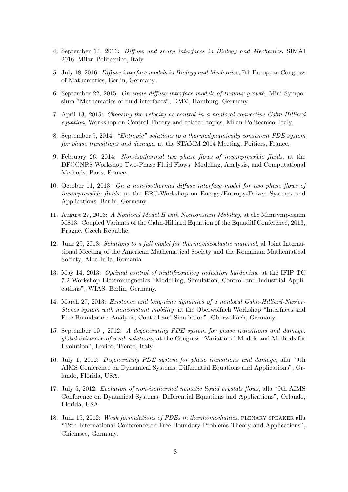- 4. September 14, 2016: Diffuse and sharp interfaces in Biology and Mechanics, SIMAI 2016, Milan Politecnico, Italy.
- 5. July 18, 2016: Diffuse interface models in Biology and Mechanics, 7th European Congress of Mathematics, Berlin, Germany.
- 6. September 22, 2015: On some diffuse interface models of tumour growth, Mini Symposium "Mathematics of fluid interfaces", DMV, Hamburg, Germany.
- 7. April 13, 2015: Choosing the velocity as control in a nonlocal convective Cahn-Hilliard equation, Workshop on Control Theory and related topics, Milan Politecnico, Italy.
- 8. September 9, 2014: "Entropic" solutions to a thermodynamically consistent PDE system for phase transitions and damage, at the STAMM 2014 Meeting, Poitiers, France.
- 9. February 26, 2014: Non-isothermal two phase flows of incompressible fluids, at the DFGCNRS Workshop Two-Phase Fluid Flows. Modeling, Analysis, and Computational Methods, Paris, France.
- 10. October 11, 2013: On a non-isothermal diffuse interface model for two phase flows of incompressible fluids, at the ERC-Workshop on Energy/Entropy-Driven Systems and Applications, Berlin, Germany.
- 11. August 27, 2013: A Nonlocal Model H with Nonconstant Mobility, at the Minisymposium MS13: Coupled Variants of the Cahn-Hilliard Equation of the Equadiff Conference, 2013, Prague, Czech Republic.
- 12. June 29, 2013: Solutions to a full model for thermoviscoelastic material, al Joint International Meeting of the American Mathematical Society and the Romanian Mathematical Society, Alba Iulia, Romania.
- 13. May 14, 2013: Optimal control of multifrequency induction hardening, at the IFIP TC 7.2 Workshop Electromagnetics "Modelling, Simulation, Control and Industrial Applications", WIAS, Berlin, Germany.
- 14. March 27, 2013: Existence and long-time dynamics of a nonlocal Cahn-Hilliard-Navier-Stokes system with nonconstant mobility at the Oberwolfach Workshop "Interfaces and Free Boundaries: Analysis, Control and Simulation", Oberwolfach, Germany.
- 15. September 10 , 2012: A degenerating PDE system for phase transitions and damage: global existence of weak solutions, at the Congress "Variational Models and Methods for Evolution", Levico, Trento, Italy.
- 16. July 1, 2012: Degenerating PDE system for phase transitions and damage, alla "9th AIMS Conference on Dynamical Systems, Differential Equations and Applications", Orlando, Florida, USA.
- 17. July 5, 2012: Evolution of non-isothermal nematic liquid crystals flows, alla "9th AIMS Conference on Dynamical Systems, Differential Equations and Applications", Orlando, Florida, USA.
- 18. June 15, 2012: Weak formulations of PDEs in thermomechanics, plenary speaker alla "12th International Conference on Free Boundary Problems Theory and Applications", Chiemsee, Germany.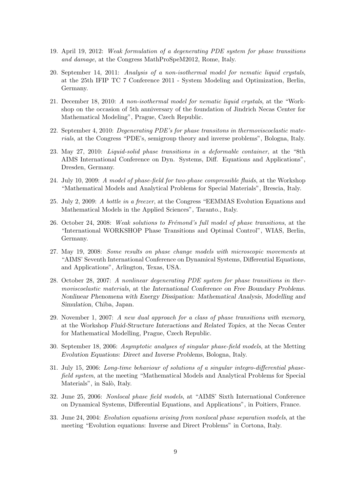- 19. April 19, 2012: Weak formulation of a degenerating PDE system for phase transitions and damage, at the Congress MathProSpeM2012, Rome, Italy.
- 20. September 14, 2011: Analysis of a non-isothermal model for nematic liquid crystals, at the 25th IFIP TC 7 Conference 2011 - System Modeling and Optimization, Berlin, Germany.
- 21. December 18, 2010: A non-isothermal model for nematic liquid crystals, at the "Workshop on the occasion of 5th anniversary of the foundation of Jindrich Necas Center for Mathematical Modeling", Prague, Czech Republic.
- 22. September 4, 2010: Degenerating PDE's for phase transitons in thermoviscoelastic materials, at the Congress "PDE's, semigroup theory and inverse problems", Bologna, Italy.
- 23. May 27, 2010: Liquid-solid phase transitions in a deformable container, at the "8th AIMS International Conference on Dyn. Systems, Diff. Equations and Applications", Dresden, Germany.
- 24. July 10, 2009: A model of phase-field for two-phase compressible fluids, at the Workshop "Mathematical Models and Analytical Problems for Special Materials", Brescia, Italy.
- 25. July 2, 2009: A bottle in a freezer, at the Congress "EEMMAS Evolution Equations and Mathematical Models in the Applied Sciences", Taranto., Italy.
- 26. October 24, 2008: Weak solutions to Frémond's full model of phase transitions, at the "International WORKSHOP Phase Transitions and Optimal Control", WIAS, Berlin, Germany.
- 27. May 19, 2008: Some results on phase change models with microscopic movements at "AIMS' Seventh International Conference on Dynamical Systems, Differential Equations, and Applications", Arlington, Texas, USA.
- 28. October 28, 2007: A nonlinear degenerating PDE system for phase transitions in thermoviscoelastic materials, at the International Conference on Free Boundary Problems. Nonlinear Phenomena with Energy Dissipation: Mathematical Analysis, Modelling and Simulation, Chiba, Japan.
- 29. November 1, 2007: A new dual approach for a class of phase transitions with memory, at the Workshop Fluid-Structure Interactions and Related Topics, at the Necas Center for Mathematical Modelling, Prague, Czech Republic.
- 30. September 18, 2006: Asymptotic analyses of singular phase-field models, at the Metting Evolution Equations: Direct and Inverse Problems, Bologna, Italy.
- 31. July 15, 2006: Long-time behaviour of solutions of a singular integro-differential phasefield system, at the meeting "Mathematical Models and Analytical Problems for Special Materials", in Salò, Italy.
- 32. June 25, 2006: Nonlocal phase field models, at "AIMS' Sixth International Conference on Dynamical Systems, Differential Equations, and Applications", in Poitiers, France.
- 33. June 24, 2004: Evolution equations arising from nonlocal phase separation models, at the meeting "Evolution equations: Inverse and Direct Problems" in Cortona, Italy.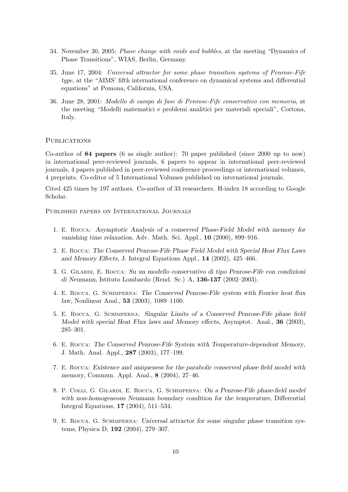- 34. November 30, 2005: Phase change with voids and bubbles, at the meeting "Dynamics of Phase Transitions", WIAS, Berlin, Germany.
- 35. June 17, 2004: Universal attractor for some phase transition systems of Penrose-Fife type, at the "AIMS' fifth international conference on dynamical systems and differential equations" at Pomona, California, USA.
- 36. June 28, 2001: Modello di campo di fase di Penrose-Fife conservativo con memoria, at the meeting "Modelli matematici e problemi analitici per materiali speciali", Cortona, Italy.

#### **PUBLICATIONS**

Co-author of 84 papers (6 as single author): 70 paper published (since 2000 up to now) in international peer-reviewed journals, 6 papers to appear in international peer-reviewed journals, 4 papers published in peer-reviewed conference proceedings or international volumes, 4 preprints. Co-editor of 5 International Volumes published on international journals.

Cited 425 times by 197 authors. Co-author of 33 researchers. H-index 18 according to Google Scholar.

Published papers on International Journals

- 1. E. Rocca: Asymptotic Analysis of a conserved Phase-Field Model with memory for vanishing time relaxation, Adv. Math. Sci. Appl., 10 (2000), 899–916.
- 2. E. Rocca: The Conserved Penrose-Fife Phase Field Model with Special Heat Flux Laws and Memory Effects, J. Integral Equations Appl., 14 (2002), 425–466.
- 3. G. Gilardi, E. Rocca: Su un modello conservativo di tipo Penrose-Fife con condizioni di Neumann, Istituto Lombardo (Rend. Sc.) A, 136-137 (2002–2003).
- 4. E. Rocca, G. Schimperna: The Conserved Penrose-Fife system with Fourier heat flux law, Nonlinear Anal., 53 (2003), 1089–1100.
- 5. E. Rocca, G. Schimperna: Singular Limits of a Conserved Penrose-Fife phase field Model with special Heat Flux laws and Memory effects, Asymptot. Anal., **36** (2003), 285–301.
- 6. E. Rocca: The Conserved Penrose-Fife System with Temperature-dependent Memory, J. Math. Anal. Appl., 287 (2003), 177–199.
- 7. E. Rocca: Existence and uniqueness for the parabolic conserved phase field model with memory, Commun. Appl. Anal., 8 (2004), 27–46.
- 8. P. Colli, G. Gilardi, E. Rocca, G. Schimperna: On a Penrose-Fife phase-field model with non-homogeneous Neumann boundary condition for the temperature, Differential Integral Equations, 17 (2004), 511–534.
- 9. E. Rocca, G. Schimperna: Universal attractor for some singular phase transition systems, Physica D, 192 (2004), 279–307.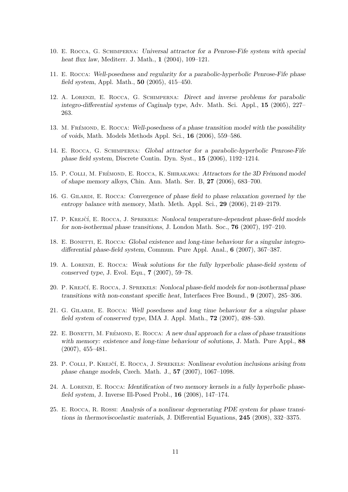- 10. E. Rocca, G. Schimperna: Universal attractor for a Penrose-Fife system with special heat flux law, Mediterr. J. Math., 1 (2004), 109–121.
- 11. E. Rocca: Well-posedness and regularity for a parabolic-hyperbolic Penrose-Fife phase field system, Appl. Math., 50 (2005), 415–450.
- 12. A. Lorenzi, E. Rocca, G. Schimperna: Direct and inverse problems for parabolic integro-differential systems of Caginalp type, Adv. Math. Sci. Appl., 15 (2005), 227– 263.
- 13. M. FRÉMOND, E. ROCCA: Well-posedness of a phase transition model with the possibility of voids, Math. Models Methods Appl. Sci., 16 (2006), 559–586.
- 14. E. Rocca, G. Schimperna: Global attractor for a parabolic-hyperbolic Penrose-Fife phase field system, Discrete Contin. Dyn. Syst., 15 (2006), 1192–1214.
- 15. P. COLLI, M. FRÉMOND, E. ROCCA, K. SHIRAKAWA: Attractors for the 3D Frémond model of shape memory alloys, Chin. Ann. Math. Ser. B, 27 (2006), 683–700.
- 16. G. Gilardi, E. Rocca: Convergence of phase field to phase relaxation governed by the entropy balance with memory, Math. Meth. Appl. Sci., 29 (2006), 2149–2179.
- 17. P. KREJČÍ, E. ROCCA, J. SPREKELS: Nonlocal temperature-dependent phase-field models for non-isothermal phase transitions, J. London Math. Soc., 76 (2007), 197–210.
- 18. E. BONETTI, E. ROCCA: Global existence and long-time behaviour for a singular integrodifferential phase-field system, Commun. Pure Appl. Anal., 6 (2007), 367–387.
- 19. A. Lorenzi, E. Rocca: Weak solutions for the fully hyperbolic phase-field system of conserved type, J. Evol. Equ., 7 (2007), 59–78.
- 20. P. KREJČÍ, E. ROCCA, J. SPREKELS: Nonlocal phase-field models for non-isothermal phase transitions with non-constant specific heat, Interfaces Free Bound., 9 (2007), 285–306.
- 21. G. Gilardi, E. Rocca: Well posedness and long time behaviour for a singular phase field system of conserved type, IMA J. Appl. Math., 72 (2007), 498–530.
- 22. E. BONETTI, M. FRÉMOND, E. ROCCA: A new dual approach for a class of phase transitions with memory: existence and long-time behaviour of solutions, J. Math. Pure Appl., 88 (2007), 455–481.
- 23. P. Colli, P. KREJČÍ, E. ROCCA, J. SPREKELS: Nonlinear evolution inclusions arising from phase change models, Czech. Math. J., 57 (2007), 1067–1098.
- 24. A. Lorenzi, E. Rocca: Identification of two memory kernels in a fully hyperbolic phasefield system, J. Inverse Ill-Posed Probl., 16 (2008), 147–174.
- 25. E. Rocca, R. Rossi: Analysis of a nonlinear degenerating PDE system for phase transitions in thermoviscoelastic materials, J. Differential Equations, 245 (2008), 332–3375.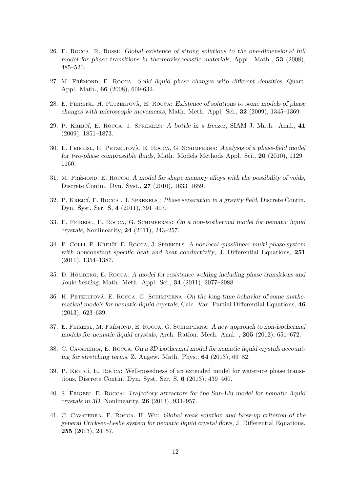- 26. E. Rocca, R. Rossi: Global existence of strong solutions to the one-dimensional full model for phase transitions in thermoviscoelastic materials, Appl. Math., 53 (2008), 485–520.
- 27. M. Fremond, E. Rocca: Solid liquid phase changes with different densities, Quart. Appl. Math., 66 (2008), 609-632.
- 28. E. FEIREISL, H. PETZELTOVÀ, E. ROCCA: Existence of solutions to some models of phase changes with microscopic movements, Math. Meth. Appl. Sci., 32 (2009), 1345–1369.
- 29. P. KREJČÍ, E. ROCCA, J. SPREKELS: A bottle in a freezer, SIAM J. Math. Anal., 41 (2009), 1851–1873.
- 30. E. FEIREISL, H. PETZELTOVÀ, E. ROCCA, G. SCHIMPERNA: Analysis of a phase-field model for two-phase compressible fluids, Math. Models Methods Appl. Sci., 20 (2010), 1129– 1160.
- 31. M. FRÉMOND, E. ROCCA: A model for shape memory alloys with the possibility of voids, Discrete Contin. Dyn. Syst., 27 (2010), 1633–1659.
- 32. P. KREJČÍ, E. ROCCA, J. SPREKELS : Phase separation in a gravity field, Discrete Contin. Dyn. Syst. Ser. S, 4 (2011), 391–407.
- 33. E. Feireisl, E. Rocca, G. Schimperna: On a non-isothermal model for nematic liquid crystals, Nonlinearity, 24 (2011), 243–257.
- 34. P. COLLI, P. KREJČÍ, E. ROCCA, J. SPREKELS: A nonlocal quasilinear multi-phase system with nonconstant specific heat and heat conductivity, J. Differential Equations, 251 (2011), 1354–1387.
- 35. D. HÖMBERG, E. ROCCA: A model for resistance welding including phase transitions and Joule heating, Math. Meth. Appl. Sci., 34 (2011), 2077–2088.
- 36. H. PETZELTOVÁ, E. ROCCA, G. SCHIMPERNA: On the long-time behavior of some mathematical models for nematic liquid crystals, Calc. Var. Partial Differential Equations, 46 (2013), 623–639.
- 37. E. FEIREISL, M. FRÉMOND, E. ROCCA, G. SCHIMPERNA: A new approach to non-isothermal models for nematic liquid crystals, Arch. Ration. Mech. Anal. , 205 (2012), 651–672.
- 38. C. CAVATERRA, E. ROCCA, On a 3D isothermal model for nematic liquid crystals accounting for stretching terms, Z. Angew. Math. Phys., 64 (2013), 69–82.
- 39. P. KREJČÍ, E. ROCCA: Well-posedness of an extended model for water-ice phase transitions, Discrete Contin. Dyn. Syst. Ser. S, 6 (2013), 439–460.
- 40. S. Frigeri, E. Rocca: Trajectory attractors for the Sun-Liu model for nematic liquid crystals in 3D, Nonlinearity, 26 (2013), 933–957.
- 41. C. Cavaterra, E. Rocca, H. Wu: Global weak solution and blow-up criterion of the general Ericksen-Leslie system for nematic liquid crystal flows, J. Differential Equations, 255 (2013), 24–57.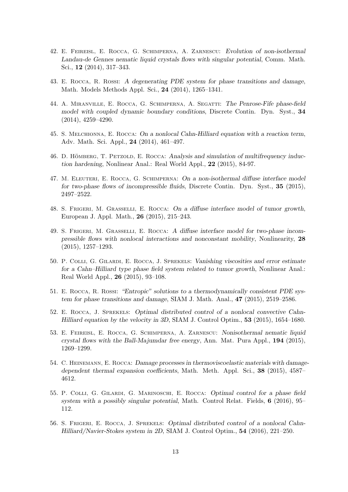- 42. E. Feireisl, E. Rocca, G. Schimperna, A. Zarnescu: Evolution of non-isothermal Landau-de Gennes nematic liquid crystals flows with singular potential, Comm. Math. Sci., 12 (2014), 317–343.
- 43. E. Rocca, R. Rossi: A degenerating PDE system for phase transitions and damage, Math. Models Methods Appl. Sci., 24 (2014), 1265–1341.
- 44. A. Miranville, E. Rocca, G. Schimperna, A. Segatti: The Penrose-Fife phase-field model with coupled dynamic boundary conditions, Discrete Contin. Dyn. Syst., 34 (2014), 4259–4290.
- 45. S. Melchionna, E. Rocca: On a nonlocal Cahn-Hilliard equation with a reaction term, Adv. Math. Sci. Appl., 24 (2014), 461–497.
- 46. D. HÖMBERG, T. PETZOLD, E. ROCCA: Analysis and simulation of multifrequency induction hardening, Nonlinear Anal.: Real World Appl., 22 (2015), 84-97.
- 47. M. Eleuteri, E. Rocca, G. Schimperna: On a non-isothermal diffuse interface model for two-phase flows of incompressible fluids, Discrete Contin. Dyn. Syst., 35 (2015), 2497–2522.
- 48. S. Frigeri, M. Grasselli, E. Rocca: On a diffuse interface model of tumor growth, European J. Appl. Math., 26 (2015), 215–243.
- 49. S. Frigeri, M. Grasselli, E. Rocca: A diffuse interface model for two-phase incompressible flows with nonlocal interactions and nonconstant mobility, Nonlinearity, 28 (2015), 1257–1293.
- 50. P. Colli, G. Gilardi, E. Rocca, J. Sprekels: Vanishing viscosities and error estimate for a Cahn–Hilliard type phase field system related to tumor growth, Nonlinear Anal.: Real World Appl., 26 (2015), 93–108.
- 51. E. Rocca, R. Rossi: "Entropic" solutions to a thermodynamically consistent PDE system for phase transitions and damage, SIAM J. Math. Anal., 47 (2015), 2519–2586.
- 52. E. Rocca, J. Sprekels: Optimal distributed control of a nonlocal convective Cahn-Hilliard equation by the velocity in 3D, SIAM J. Control Optim., 53 (2015), 1654–1680.
- 53. E. Feireisl, E. Rocca, G. Schimperna, A. Zarnescu: Nonisothermal nematic liquid crystal flows with the Ball-Majumdar free energy, Ann. Mat. Pura Appl., 194 (2015), 1269–1299.
- 54. C. Heinemann, E. Rocca: Damage processes in thermoviscoelastic materials with damagedependent thermal expansion coefficients, Math. Meth. Appl. Sci., 38 (2015), 4587– 4612.
- 55. P. Colli, G. Gilardi, G. Marinoschi, E. Rocca: Optimal control for a phase field system with a possibly singular potential, Math. Control Relat. Fields, 6 (2016), 95– 112.
- 56. S. Frigeri, E. Rocca, J. Sprekels: Optimal distributed control of a nonlocal Cahn-Hilliard/Navier-Stokes system in 2D, SIAM J. Control Optim., 54 (2016), 221–250.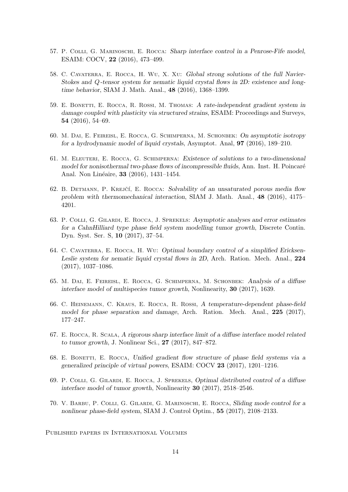- 57. P. Colli, G. Marinoschi, E. Rocca: Sharp interface control in a Penrose-Fife model, ESAIM: COCV, 22 (2016), 473–499.
- 58. C. Cavaterra, E. Rocca, H. Wu, X. Xu: Global strong solutions of the full Navier-Stokes and Q-tensor system for nematic liquid crystal flows in 2D: existence and longtime behavior, SIAM J. Math. Anal., 48 (2016), 1368–1399.
- 59. E. Bonetti, E. Rocca, R. Rossi, M. Thomas: A rate-independent gradient system in damage coupled with plasticity via structured strains, ESAIM: Proceedings and Surveys, 54 (2016), 54–69.
- 60. M. Dai, E. Feireisl, E. Rocca, G. Schimperna, M. Schonbek: On asymptotic isotropy for a hydrodynamic model of liquid crystals, Asymptot. Anal, 97 (2016), 189–210.
- 61. M. Eleuteri, E. Rocca, G. Schimperna: Existence of solutions to a two-dimensional model for nonisothermal two-phase flows of incompressible fluids, Ann. Inst. H. Poincaré Anal. Non Linéaire, **33** (2016), 1431–1454.
- 62. B. DETMANN, P. KREJČÍ, E. ROCCA: Solvability of an unsaturated porous media flow problem with thermomechanical interaction, SIAM J. Math. Anal., 48 (2016), 4175– 4201.
- 63. P. Colli, G. Gilardi, E. Rocca, J. Sprekels: Asymptotic analyses and error estimates for a CahnHilliard type phase field system modelling tumor growth, Discrete Contin. Dyn. Syst. Ser. S, 10 (2017), 37–54.
- 64. C. Cavaterra, E. Rocca, H. Wu: Optimal boundary control of a simplified Ericksen-Leslie system for nematic liquid crystal flows in 2D, Arch. Ration. Mech. Anal., 224 (2017), 1037–1086.
- 65. M. Dai, E. Feireisl, E. Rocca, G. Schimperna, M. Schonbek: Analysis of a diffuse interface model of multispecies tumor growth, Nonlinearity, 30 (2017), 1639.
- 66. C. Heinemann, C. Kraus, E. Rocca, R. Rossi, A temperature-dependent phase-field model for phase separation and damage, Arch. Ration. Mech. Anal., 225 (2017), 177–247.
- 67. E. Rocca, R. Scala, A rigorous sharp interface limit of a diffuse interface model related to tumor growth, J. Nonlinear Sci., 27 (2017), 847–872.
- 68. E. BONETTI, E. ROCCA, Unified gradient flow structure of phase field systems via a generalized principle of virtual powers, ESAIM: COCV 23 (2017), 1201–1216.
- 69. P. Colli, G. Gilardi, E. Rocca, J. Sprekels, Optimal distributed control of a diffuse interface model of tumor growth, Nonlinearity 30 (2017), 2518–2546.
- 70. V. Barbu, P. Colli, G. Gilardi, G. Marinoschi, E. Rocca, Sliding mode control for a nonlinear phase-field system, SIAM J. Control Optim., 55 (2017), 2108–2133.

Published papers in International Volumes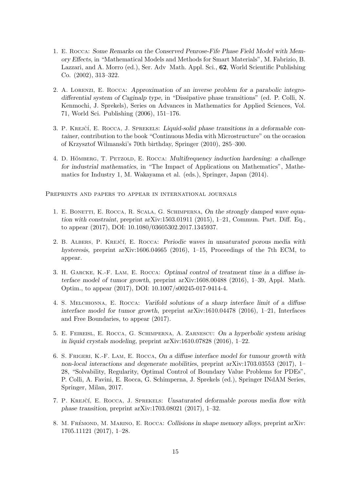- 1. E. Rocca: Some Remarks on the Conserved Penrose-Fife Phase Field Model with Memory Effects, in "Mathematical Models and Methods for Smart Materials", M. Fabrizio, B. Lazzari, and A. Morro (ed.), Ser. Adv Math. Appl. Sci., 62, World Scientific Publishing Co. (2002), 313–322.
- 2. A. Lorenzi, E. Rocca: Approximation of an inverse problem for a parabolic integrodifferential system of Caginalp type, in "Dissipative phase transitions" (ed. P. Colli, N. Kenmochi, J. Sprekels), Series on Advances in Mathematics for Applied Sciences, Vol. 71, World Sci. Publishing (2006), 151–176.
- 3. P. KREJČÍ, E. ROCCA, J. SPREKELS: Liquid-solid phase transitions in a deformable container, contribution to the book "Continuous Media with Microstructure" on the occasion of Krzysztof Wilmanski's 70th birthday, Springer (2010), 285–300.
- 4. D. HÖMBERG, T. PETZOLD, E. ROCCA: Multifrequency induction hardening: a challenge for industrial mathematics, in "The Impact of Applications on Mathematics", Mathematics for Industry 1, M. Wakayama et al. (eds.), Springer, Japan (2014).

Preprints and papers to appear in international journals

- 1. E. Bonetti, E. Rocca, R. Scala, G. Schimperna, On the strongly damped wave equation with constraint, preprint arXiv:1503.01911 (2015),  $1-21$ , Commun. Part. Diff. Eq., to appear (2017), DOI: 10.1080/03605302.2017.1345937.
- 2. B. ALBERS, P. KREJČÍ, E. ROCCA: Periodic waves in unsaturated porous media with hysteresis, preprint arXiv:1606.04665 (2016), 1-15, Proceedings of the 7th ECM, to appear.
- 3. H. Garcke, K.-F. Lam, E. Rocca: Optimal control of treatment time in a diffuse interface model of tumor growth, preprint arXiv:1608.00488 (2016), 1–39, Appl. Math. Optim., to appear (2017), DOI: 10.1007/s00245-017-9414-4.
- 4. S. Melchionna, E. Rocca: Varifold solutions of a sharp interface limit of a diffuse interface model for tumor growth, preprint arXiv:1610.04478 (2016), 1–21, Interfaces and Free Boundaries, to appear (2017).
- 5. E. Feireisl, E. Rocca, G. Schimperna, A. Zarnescu: On a hyperbolic system arising in liquid crystals modeling, preprint arXiv:1610.07828 (2016), 1–22.
- 6. S. Frigeri, K.-F. Lam, E. Rocca, On a diffuse interface model for tumour growth with non-local interactions and degenerate mobilities, preprint arXiv:1703.03553 (2017), 1– 28, "Solvability, Regularity, Optimal Control of Boundary Value Problems for PDEs", P. Colli, A. Favini, E. Rocca, G. Schimperna, J. Sprekels (ed.), Springer INdAM Series, Springer, Milan, 2017.
- 7. P. KREJČÍ, E. ROCCA, J. SPREKELS: Unsaturated deformable porous media flow with phase transition, preprint arXiv:1703.08021 (2017), 1–32.
- 8. M. FRÉMOND, M. MARINO, E. ROCCA: Collisions in shape memory alloys, preprint arXiv: 1705.11121 (2017), 1–28.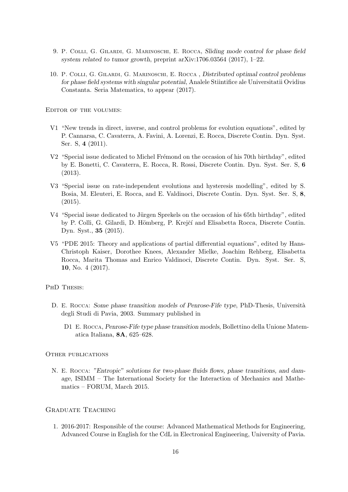- 9. P. Colli, G. Gilardi, G. Marinoschi, E. Rocca, Sliding mode control for phase field system related to tumor growth, preprint arXiv:1706.03564 (2017), 1–22.
- 10. P. Colli, G. Gilardi, G. Marinoschi, E. Rocca , Distributed optimal control problems for phase field systems with singular potential, Analele Stiintifice ale Universitatii Ovidius Constanta. Seria Matematica, to appear (2017).

Editor of the volumes:

- V1 "New trends in direct, inverse, and control problems for evolution equations", edited by P. Cannarsa, C. Cavaterra, A. Favini, A. Lorenzi, E. Rocca, Discrete Contin. Dyn. Syst. Ser. S, 4 (2011).
- $V2$  "Special issue dedicated to Michel Frémond on the occasion of his 70th birthday", edited by E. Bonetti, C. Cavaterra, E. Rocca, R. Rossi, Discrete Contin. Dyn. Syst. Ser. S, 6 (2013).
- V3 "Special issue on rate-independent evolutions and hysteresis modelling", edited by S. Bosia, M. Eleuteri, E. Rocca, and E. Valdinoci, Discrete Contin. Dyn. Syst. Ser. S, 8, (2015).
- V4 "Special issue dedicated to Jürgen Sprekels on the occasion of his 65th birthday", edited by P. Colli, G. Gilardi, D. Hömberg, P. Krejčí and Elisabetta Rocca, Discrete Contin. Dyn. Syst., 35 (2015).
- V5 "PDE 2015: Theory and applications of partial differential equations", edited by Hans-Christoph Kaiser, Dorothee Knees, Alexander Mielke, Joachim Rehberg, Elisabetta Rocca, Marita Thomas and Enrico Valdinoci, Discrete Contin. Dyn. Syst. Ser. S, 10, No. 4 (2017).

#### PHD THESIS:

- D. E. Rocca: Some phase transition models of Penrose-Fife type, PhD-Thesis, Università degli Studi di Pavia, 2003. Summary published in
	- D1 E. Rocca, Penrose-Fife type phase transition models, Bollettino della Unione Matematica Italiana, 8A, 625–628.

#### OTHER PUBLICATIONS

N. E. Rocca: "Entropic" solutions for two-phase fluids flows, phase transitions, and damage, ISIMM – The International Society for the Interaction of Mechanics and Mathematics – FORUM, March 2015.

# GRADUATE TEACHING

1. 2016-2017: Responsible of the course: Advanced Mathematical Methods for Engineering, Advanced Course in English for the CdL in Electronical Engineering, University of Pavia.